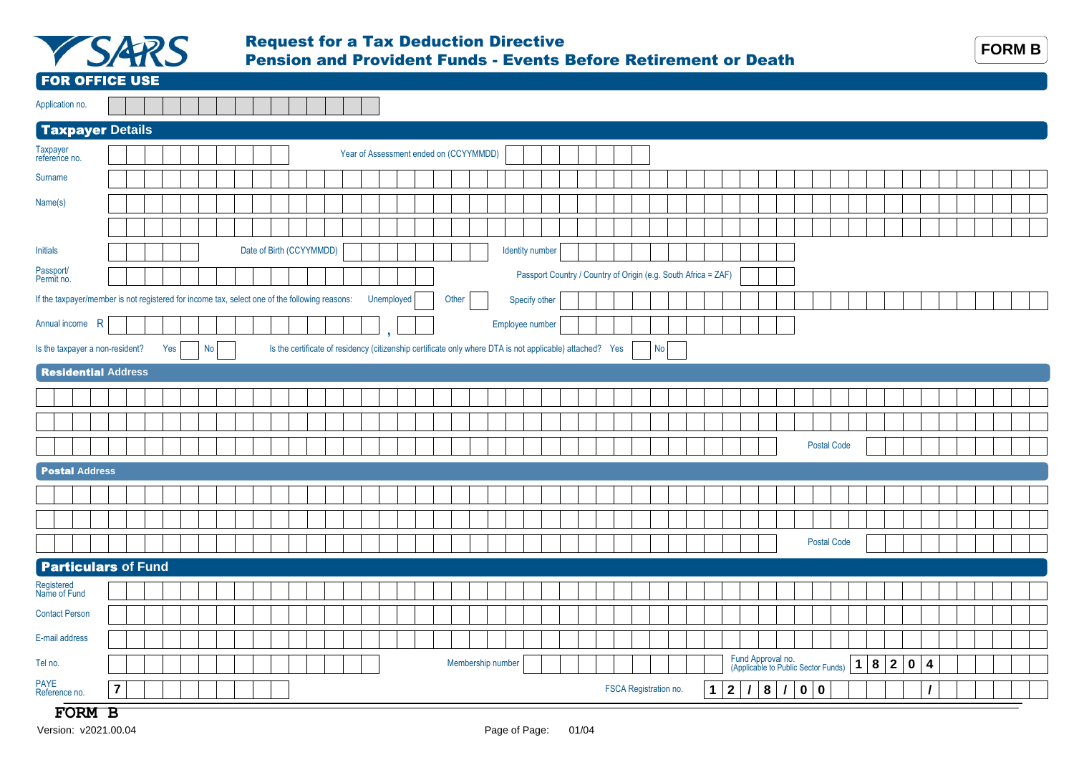

## Request for a Tax Deduction Directive Pension and Provident Funds - Events Before Retirement or Death



FOR OFFICE USE

| Application no. |  |  |  |  |  |  |  |
|-----------------|--|--|--|--|--|--|--|

## Taxpayer **Details** Specify other If the taxpayer/member is not registered for income tax, select one of the following reasons: Unemployed Other Specify other Specify other Annual income R Is the taxpayer a non-resident? Yes No Taxpayer<br>
reference no. **Taxpayer Reference no.** Year of Assessment ended on (CCYYMMDD) Name(s) Initials Surname Date of Birth (CCYYMMDD) Identity number Passport Country / Country of Origin (e.g. South Africa = ZAF) Permit no. **,** Is the certificate of residency (citizenship certificate only where DTA is not applicable) attached? Yes  $\vert$  No  $\vert$ Annual income R

| <b>Residential Address</b> |                                                                                                                                                                                                                                                   |  |  |  |  |  |  |  |  |  |  |  |  |  |  |  |  |  |  |  |  |  |  |  |                    |  |  |  |  |  |  |
|----------------------------|---------------------------------------------------------------------------------------------------------------------------------------------------------------------------------------------------------------------------------------------------|--|--|--|--|--|--|--|--|--|--|--|--|--|--|--|--|--|--|--|--|--|--|--|--------------------|--|--|--|--|--|--|
|                            |                                                                                                                                                                                                                                                   |  |  |  |  |  |  |  |  |  |  |  |  |  |  |  |  |  |  |  |  |  |  |  |                    |  |  |  |  |  |  |
|                            |                                                                                                                                                                                                                                                   |  |  |  |  |  |  |  |  |  |  |  |  |  |  |  |  |  |  |  |  |  |  |  |                    |  |  |  |  |  |  |
|                            |                                                                                                                                                                                                                                                   |  |  |  |  |  |  |  |  |  |  |  |  |  |  |  |  |  |  |  |  |  |  |  | <b>Postal Code</b> |  |  |  |  |  |  |
| <b>Postal Address</b>      |                                                                                                                                                                                                                                                   |  |  |  |  |  |  |  |  |  |  |  |  |  |  |  |  |  |  |  |  |  |  |  |                    |  |  |  |  |  |  |
|                            |                                                                                                                                                                                                                                                   |  |  |  |  |  |  |  |  |  |  |  |  |  |  |  |  |  |  |  |  |  |  |  |                    |  |  |  |  |  |  |
|                            |                                                                                                                                                                                                                                                   |  |  |  |  |  |  |  |  |  |  |  |  |  |  |  |  |  |  |  |  |  |  |  |                    |  |  |  |  |  |  |
|                            |                                                                                                                                                                                                                                                   |  |  |  |  |  |  |  |  |  |  |  |  |  |  |  |  |  |  |  |  |  |  |  |                    |  |  |  |  |  |  |
|                            |                                                                                                                                                                                                                                                   |  |  |  |  |  |  |  |  |  |  |  |  |  |  |  |  |  |  |  |  |  |  |  |                    |  |  |  |  |  |  |
| Registered<br>Name of Fund |                                                                                                                                                                                                                                                   |  |  |  |  |  |  |  |  |  |  |  |  |  |  |  |  |  |  |  |  |  |  |  |                    |  |  |  |  |  |  |
| <b>Contact Person</b>      |                                                                                                                                                                                                                                                   |  |  |  |  |  |  |  |  |  |  |  |  |  |  |  |  |  |  |  |  |  |  |  |                    |  |  |  |  |  |  |
| E-mail address             |                                                                                                                                                                                                                                                   |  |  |  |  |  |  |  |  |  |  |  |  |  |  |  |  |  |  |  |  |  |  |  |                    |  |  |  |  |  |  |
| Tel no.                    |                                                                                                                                                                                                                                                   |  |  |  |  |  |  |  |  |  |  |  |  |  |  |  |  |  |  |  |  |  |  |  |                    |  |  |  |  |  |  |
| PAYE<br>Reference no.      | <b>Postal Code</b><br><b>Particulars of Fund</b><br>Fund Approval no.<br>(Applicable to Public Sector Funds)<br>Membership number<br>18204<br>$\overline{7}$<br>8<br>FSCA Registration no.<br>0   0<br>$\mathbf{1}$<br>$\vert$ 2<br>$\prime$<br>, |  |  |  |  |  |  |  |  |  |  |  |  |  |  |  |  |  |  |  |  |  |  |  |                    |  |  |  |  |  |  |

## **FORM B**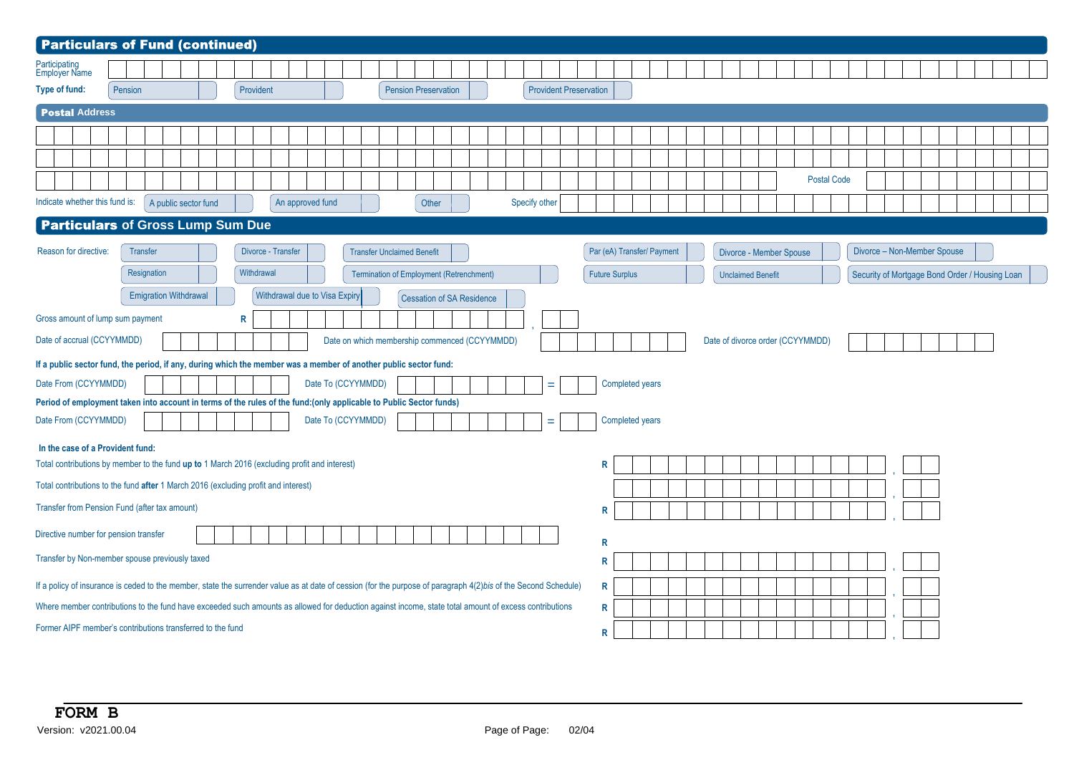| <b>Particulars of Fund (continued)</b>                                                                                                                         |         |             |                              |  |            |                    |                               |                    |                                               |                                  |  |               |                               |                       |                            |  |                          |                                  |                    |  |                             |                                                |  |  |
|----------------------------------------------------------------------------------------------------------------------------------------------------------------|---------|-------------|------------------------------|--|------------|--------------------|-------------------------------|--------------------|-----------------------------------------------|----------------------------------|--|---------------|-------------------------------|-----------------------|----------------------------|--|--------------------------|----------------------------------|--------------------|--|-----------------------------|------------------------------------------------|--|--|
| Participating<br>Employer Name                                                                                                                                 |         |             |                              |  |            |                    |                               |                    |                                               |                                  |  |               |                               |                       |                            |  |                          |                                  |                    |  |                             |                                                |  |  |
| Type of fund:                                                                                                                                                  | Pension |             |                              |  | Provident  |                    |                               |                    | <b>Pension Preservation</b>                   |                                  |  |               | <b>Provident Preservation</b> |                       |                            |  |                          |                                  |                    |  |                             |                                                |  |  |
| <b>Postal Address</b>                                                                                                                                          |         |             |                              |  |            |                    |                               |                    |                                               |                                  |  |               |                               |                       |                            |  |                          |                                  |                    |  |                             |                                                |  |  |
|                                                                                                                                                                |         |             |                              |  |            |                    |                               |                    |                                               |                                  |  |               |                               |                       |                            |  |                          |                                  |                    |  |                             |                                                |  |  |
|                                                                                                                                                                |         |             |                              |  |            |                    |                               |                    |                                               |                                  |  |               |                               |                       |                            |  |                          |                                  |                    |  |                             |                                                |  |  |
|                                                                                                                                                                |         |             |                              |  |            |                    |                               |                    |                                               |                                  |  |               |                               |                       |                            |  |                          |                                  | <b>Postal Code</b> |  |                             |                                                |  |  |
| Indicate whether this fund is:                                                                                                                                 |         |             | A public sector fund         |  |            |                    | An approved fund              |                    |                                               | Other                            |  | Specify other |                               |                       |                            |  |                          |                                  |                    |  |                             |                                                |  |  |
| <b>Particulars of Gross Lump Sum Due</b>                                                                                                                       |         |             |                              |  |            |                    |                               |                    |                                               |                                  |  |               |                               |                       |                            |  |                          |                                  |                    |  |                             |                                                |  |  |
| Reason for directive:                                                                                                                                          |         | Transfer    |                              |  |            | Divorce - Transfer |                               |                    | <b>Transfer Unclaimed Benefit</b>             |                                  |  |               |                               |                       | Par (eA) Transfer/ Payment |  |                          | Divorce - Member Spouse          |                    |  | Divorce - Non-Member Spouse |                                                |  |  |
|                                                                                                                                                                |         | Resignation |                              |  | Withdrawal |                    |                               |                    | Termination of Employment (Retrenchment)      |                                  |  |               |                               | <b>Future Surplus</b> |                            |  | <b>Unclaimed Benefit</b> |                                  |                    |  |                             | Security of Mortgage Bond Order / Housing Loan |  |  |
|                                                                                                                                                                |         |             | <b>Emigration Withdrawal</b> |  |            |                    | Withdrawal due to Visa Expiry |                    |                                               | <b>Cessation of SA Residence</b> |  |               |                               |                       |                            |  |                          |                                  |                    |  |                             |                                                |  |  |
| Gross amount of lump sum payment                                                                                                                               |         |             |                              |  | R          |                    |                               |                    |                                               |                                  |  |               |                               |                       |                            |  |                          |                                  |                    |  |                             |                                                |  |  |
| Date of accrual (CCYYMMDD)                                                                                                                                     |         |             |                              |  |            |                    |                               |                    | Date on which membership commenced (CCYYMMDD) |                                  |  |               |                               |                       |                            |  |                          | Date of divorce order (CCYYMMDD) |                    |  |                             |                                                |  |  |
| If a public sector fund, the period, if any, during which the member was a member of another public sector fund:                                               |         |             |                              |  |            |                    |                               |                    |                                               |                                  |  |               |                               |                       |                            |  |                          |                                  |                    |  |                             |                                                |  |  |
| Date From (CCYYMMDD)                                                                                                                                           |         |             |                              |  |            |                    |                               | Date To (CCYYMMDD) |                                               |                                  |  |               | Ξ                             |                       | Completed years            |  |                          |                                  |                    |  |                             |                                                |  |  |
| Period of employment taken into account in terms of the rules of the fund: (only applicable to Public Sector funds)                                            |         |             |                              |  |            |                    |                               |                    |                                               |                                  |  |               |                               |                       |                            |  |                          |                                  |                    |  |                             |                                                |  |  |
| Date From (CCYYMMDD)                                                                                                                                           |         |             |                              |  |            |                    |                               | Date To (CCYYMMDD) |                                               |                                  |  |               | $=$                           |                       | Completed years            |  |                          |                                  |                    |  |                             |                                                |  |  |
| In the case of a Provident fund:                                                                                                                               |         |             |                              |  |            |                    |                               |                    |                                               |                                  |  |               |                               |                       |                            |  |                          |                                  |                    |  |                             |                                                |  |  |
| Total contributions by member to the fund up to 1 March 2016 (excluding profit and interest)                                                                   |         |             |                              |  |            |                    |                               |                    |                                               |                                  |  |               |                               | R                     |                            |  |                          |                                  |                    |  |                             |                                                |  |  |
| Total contributions to the fund after 1 March 2016 (excluding profit and interest)                                                                             |         |             |                              |  |            |                    |                               |                    |                                               |                                  |  |               |                               |                       |                            |  |                          |                                  |                    |  |                             |                                                |  |  |
| Transfer from Pension Fund (after tax amount)                                                                                                                  |         |             |                              |  |            |                    |                               |                    |                                               |                                  |  |               |                               | R                     |                            |  |                          |                                  |                    |  |                             |                                                |  |  |
| Directive number for pension transfer                                                                                                                          |         |             |                              |  |            |                    |                               |                    |                                               |                                  |  |               |                               | R                     |                            |  |                          |                                  |                    |  |                             |                                                |  |  |
| Transfer by Non-member spouse previously taxed                                                                                                                 |         |             |                              |  |            |                    |                               |                    |                                               |                                  |  |               |                               | R                     |                            |  |                          |                                  |                    |  |                             |                                                |  |  |
| If a policy of insurance is ceded to the member, state the surrender value as at date of cession (for the purpose of paragraph 4(2)bis of the Second Schedule) |         |             |                              |  |            |                    |                               |                    |                                               |                                  |  |               |                               | R                     |                            |  |                          |                                  |                    |  |                             |                                                |  |  |
| Where member contributions to the fund have exceeded such amounts as allowed for deduction against income, state total amount of excess contributions          |         |             |                              |  |            |                    |                               |                    |                                               |                                  |  |               |                               | R                     |                            |  |                          |                                  |                    |  |                             |                                                |  |  |
| Former AIPF member's contributions transferred to the fund                                                                                                     |         |             |                              |  |            |                    |                               |                    |                                               |                                  |  |               |                               | R                     |                            |  |                          |                                  |                    |  |                             |                                                |  |  |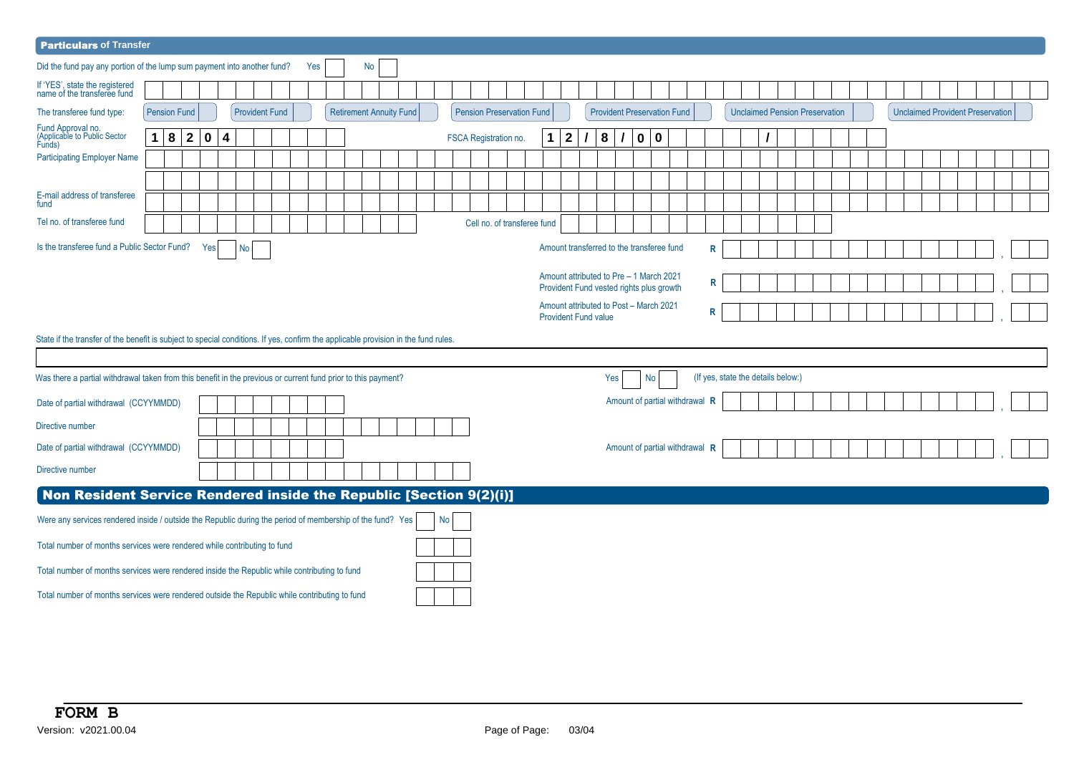| <b>Particulars of Transfer</b>                                                                                                                                                                                      |                                                          |                     |             |                         |    |  |                       |  |     |  |  |    |  |                         |  |                 |  |                       |                                  |   |              |   |                                    |              |                         |  |   |  |                                       |  |  |  |  |                                         |  |  |
|---------------------------------------------------------------------------------------------------------------------------------------------------------------------------------------------------------------------|----------------------------------------------------------|---------------------|-------------|-------------------------|----|--|-----------------------|--|-----|--|--|----|--|-------------------------|--|-----------------|--|-----------------------|----------------------------------|---|--------------|---|------------------------------------|--------------|-------------------------|--|---|--|---------------------------------------|--|--|--|--|-----------------------------------------|--|--|
| Did the fund pay any portion of the lump sum payment into another fund?                                                                                                                                             |                                                          |                     |             |                         |    |  |                       |  | Yes |  |  | No |  |                         |  |                 |  |                       |                                  |   |              |   |                                    |              |                         |  |   |  |                                       |  |  |  |  |                                         |  |  |
| If 'YES', state the registered<br>name of the transferee fund                                                                                                                                                       |                                                          |                     |             |                         |    |  |                       |  |     |  |  |    |  |                         |  |                 |  |                       |                                  |   |              |   |                                    |              |                         |  |   |  |                                       |  |  |  |  |                                         |  |  |
| The transferee fund type:                                                                                                                                                                                           | <b>Pension Fund</b>                                      |                     |             |                         |    |  | <b>Provident Fund</b> |  |     |  |  |    |  | Retirement Annuity Fund |  |                 |  |                       | <b>Pension Preservation Fund</b> |   |              |   | <b>Provident Preservation Fund</b> |              |                         |  |   |  | <b>Unclaimed Pension Preservation</b> |  |  |  |  | <b>Unclaimed Provident Preservation</b> |  |  |
| Fund Approval no.<br>(Applicable to Public Sector<br>Funds)                                                                                                                                                         | 1.                                                       | $\overline{2}$<br>8 | $\mathbf 0$ | $\overline{\mathbf{4}}$ |    |  |                       |  |     |  |  |    |  |                         |  |                 |  | FSCA Registration no. |                                  | 1 | $\mathbf{2}$ | 8 | $\prime$                           | $\mathbf{0}$ | $\overline{\mathbf{0}}$ |  |   |  |                                       |  |  |  |  |                                         |  |  |
| <b>Participating Employer Name</b>                                                                                                                                                                                  |                                                          |                     |             |                         |    |  |                       |  |     |  |  |    |  |                         |  |                 |  |                       |                                  |   |              |   |                                    |              |                         |  |   |  |                                       |  |  |  |  |                                         |  |  |
|                                                                                                                                                                                                                     |                                                          |                     |             |                         |    |  |                       |  |     |  |  |    |  |                         |  |                 |  |                       |                                  |   |              |   |                                    |              |                         |  |   |  |                                       |  |  |  |  |                                         |  |  |
| E-mail address of transferee<br>fund                                                                                                                                                                                |                                                          |                     |             |                         |    |  |                       |  |     |  |  |    |  |                         |  |                 |  |                       |                                  |   |              |   |                                    |              |                         |  |   |  |                                       |  |  |  |  |                                         |  |  |
| Tel no. of transferee fund                                                                                                                                                                                          |                                                          |                     |             |                         |    |  |                       |  |     |  |  |    |  |                         |  |                 |  |                       | Cell no. of transferee fund      |   |              |   |                                    |              |                         |  |   |  |                                       |  |  |  |  |                                         |  |  |
| Is the transferee fund a Public Sector Fund?                                                                                                                                                                        |                                                          |                     | Yes         |                         | No |  |                       |  |     |  |  |    |  |                         |  |                 |  |                       |                                  |   |              |   |                                    |              |                         |  | R |  |                                       |  |  |  |  |                                         |  |  |
| Amount transferred to the transferee fund<br>Amount attributed to Pre - 1 March 2021<br>R<br>Provident Fund vested rights plus growth<br>Amount attributed to Post - March 2021<br>R<br><b>Provident Fund value</b> |                                                          |                     |             |                         |    |  |                       |  |     |  |  |    |  |                         |  |                 |  |                       |                                  |   |              |   |                                    |              |                         |  |   |  |                                       |  |  |  |  |                                         |  |  |
| State if the transfer of the benefit is subject to special conditions. If yes, confirm the applicable provision in the fund rules.                                                                                  |                                                          |                     |             |                         |    |  |                       |  |     |  |  |    |  |                         |  |                 |  |                       |                                  |   |              |   |                                    |              |                         |  |   |  |                                       |  |  |  |  |                                         |  |  |
|                                                                                                                                                                                                                     |                                                          |                     |             |                         |    |  |                       |  |     |  |  |    |  |                         |  |                 |  |                       |                                  |   |              |   |                                    |              |                         |  |   |  |                                       |  |  |  |  |                                         |  |  |
|                                                                                                                                                                                                                     | (If yes, state the details below:)<br>Yes  <br><b>No</b> |                     |             |                         |    |  |                       |  |     |  |  |    |  |                         |  |                 |  |                       |                                  |   |              |   |                                    |              |                         |  |   |  |                                       |  |  |  |  |                                         |  |  |
|                                                                                                                                                                                                                     |                                                          |                     |             |                         |    |  |                       |  |     |  |  |    |  |                         |  |                 |  |                       |                                  |   |              |   |                                    |              |                         |  |   |  |                                       |  |  |  |  |                                         |  |  |
| Was there a partial withdrawal taken from this benefit in the previous or current fund prior to this payment?<br>Amount of partial withdrawal R<br>Date of partial withdrawal (CCYYMMDD)                            |                                                          |                     |             |                         |    |  |                       |  |     |  |  |    |  |                         |  |                 |  |                       |                                  |   |              |   |                                    |              |                         |  |   |  |                                       |  |  |  |  |                                         |  |  |
| Directive number                                                                                                                                                                                                    |                                                          |                     |             |                         |    |  |                       |  |     |  |  |    |  |                         |  |                 |  |                       |                                  |   |              |   |                                    |              |                         |  |   |  |                                       |  |  |  |  |                                         |  |  |
| Date of partial withdrawal (CCYYMMDD)                                                                                                                                                                               |                                                          |                     |             |                         |    |  |                       |  |     |  |  |    |  |                         |  |                 |  |                       |                                  |   |              |   | Amount of partial withdrawal R     |              |                         |  |   |  |                                       |  |  |  |  |                                         |  |  |
| Directive number                                                                                                                                                                                                    |                                                          |                     |             |                         |    |  |                       |  |     |  |  |    |  |                         |  |                 |  |                       |                                  |   |              |   |                                    |              |                         |  |   |  |                                       |  |  |  |  |                                         |  |  |
| Non Resident Service Rendered inside the Republic [Section 9(2)(i)]                                                                                                                                                 |                                                          |                     |             |                         |    |  |                       |  |     |  |  |    |  |                         |  |                 |  |                       |                                  |   |              |   |                                    |              |                         |  |   |  |                                       |  |  |  |  |                                         |  |  |
| Were any services rendered inside / outside the Republic during the period of membership of the fund? Yes                                                                                                           |                                                          |                     |             |                         |    |  |                       |  |     |  |  |    |  |                         |  | No <sub>1</sub> |  |                       |                                  |   |              |   |                                    |              |                         |  |   |  |                                       |  |  |  |  |                                         |  |  |
| Total number of months services were rendered while contributing to fund                                                                                                                                            |                                                          |                     |             |                         |    |  |                       |  |     |  |  |    |  |                         |  |                 |  |                       |                                  |   |              |   |                                    |              |                         |  |   |  |                                       |  |  |  |  |                                         |  |  |
| Total number of months services were rendered inside the Republic while contributing to fund                                                                                                                        |                                                          |                     |             |                         |    |  |                       |  |     |  |  |    |  |                         |  |                 |  |                       |                                  |   |              |   |                                    |              |                         |  |   |  |                                       |  |  |  |  |                                         |  |  |
| Total number of months services were rendered outside the Republic while contributing to fund                                                                                                                       |                                                          |                     |             |                         |    |  |                       |  |     |  |  |    |  |                         |  |                 |  |                       |                                  |   |              |   |                                    |              |                         |  |   |  |                                       |  |  |  |  |                                         |  |  |